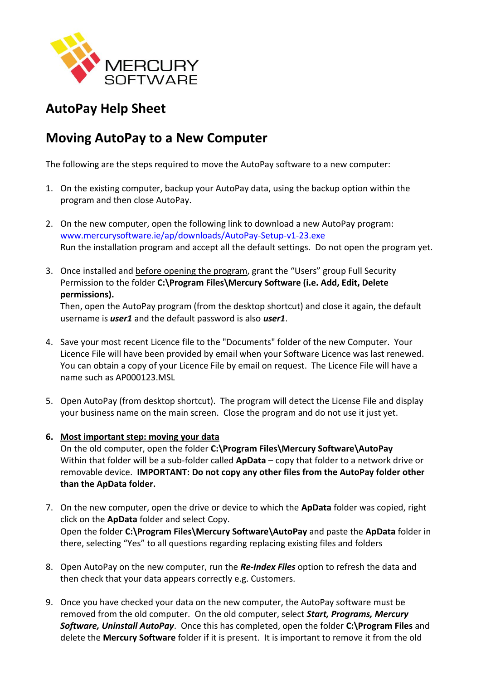

## **AutoPay Help Sheet**

## **Moving AutoPay to a New Computer**

The following are the steps required to move the AutoPay software to a new computer:

- 1. On the existing computer, backup your AutoPay data, using the backup option within the program and then close AutoPay.
- 2. On the new computer, open the following link to download a new AutoPay program: [www.mercurysoftware.ie/ap/downloads/AutoPay-Setup-v1-23.exe](http://www.mercurysoftware.ie/ap/downloads/AutoPay-Setup-v1-23.exe) Run the installation program and accept all the default settings. Do not open the program yet.
- 3. Once installed and before opening the program, grant the "Users" group Full Security Permission to the folder **C:\Program Files\Mercury Software (i.e. Add, Edit, Delete permissions).**

Then, open the AutoPay program (from the desktop shortcut) and close it again, the default username is *user1* and the default password is also *user1*.

- 4. Save your most recent Licence file to the "Documents" folder of the new Computer. Your Licence File will have been provided by email when your Software Licence was last renewed. You can obtain a copy of your Licence File by email on request. The Licence File will have a name such as AP000123.MSL
- 5. Open AutoPay (from desktop shortcut). The program will detect the License File and display your business name on the main screen. Close the program and do not use it just yet.
- **6. Most important step: moving your data**

On the old computer, open the folder **C:\Program Files\Mercury Software\AutoPay** Within that folder will be a sub-folder called **ApData** – copy that folder to a network drive or removable device. **IMPORTANT: Do not copy any other files from the AutoPay folder other than the ApData folder.**

- 7. On the new computer, open the drive or device to which the **ApData** folder was copied, right click on the **ApData** folder and select Copy. Open the folder **C:\Program Files\Mercury Software\AutoPay** and paste the **ApData** folder in there, selecting "Yes" to all questions regarding replacing existing files and folders
- 8. Open AutoPay on the new computer, run the *Re-Index Files* option to refresh the data and then check that your data appears correctly e.g. Customers.
- 9. Once you have checked your data on the new computer, the AutoPay software must be removed from the old computer. On the old computer, select *Start, Programs, Mercury Software, Uninstall AutoPay*. Once this has completed, open the folder **C:\Program Files** and delete the **Mercury Software** folder if it is present. It is important to remove it from the old